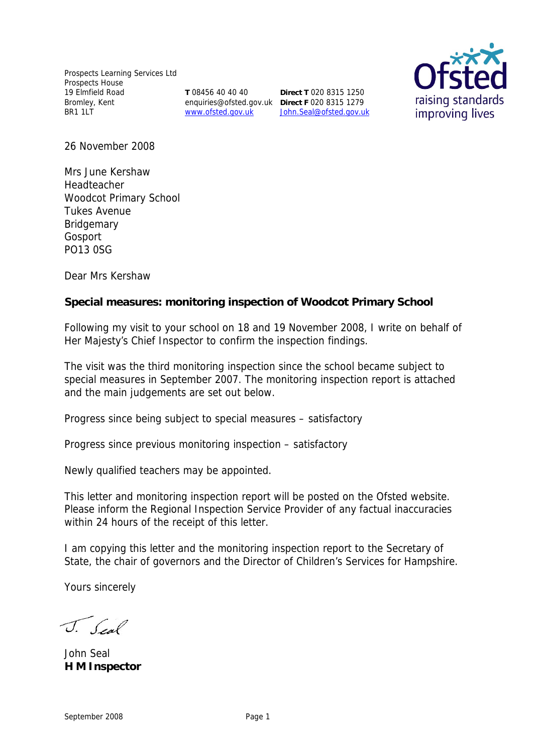Prospects Learning Services Ltd Prospects House 19 Elmfield Road Bromley, Kent BR1 1LT

**T** 08456 40 40 40

enquiries@ofsted.gov.uk **Direct F** 020 8315 1279 www.ofsted.gov.uk John.Seal@ofsted.gov.uk **Direct T** 020 8315 1250



26 November 2008

Mrs June Kershaw Headteacher Woodcot Primary School Tukes Avenue **Bridgemary** Gosport PO13 0SG

Dear Mrs Kershaw

**Special measures: monitoring inspection of Woodcot Primary School**

Following my visit to your school on 18 and 19 November 2008, I write on behalf of Her Majesty's Chief Inspector to confirm the inspection findings.

The visit was the third monitoring inspection since the school became subject to special measures in September 2007. The monitoring inspection report is attached and the main judgements are set out below.

Progress since being subject to special measures – satisfactory

Progress since previous monitoring inspection – satisfactory

Newly qualified teachers may be appointed.

This letter and monitoring inspection report will be posted on the Ofsted website. Please inform the Regional Inspection Service Provider of any factual inaccuracies within 24 hours of the receipt of this letter.

I am copying this letter and the monitoring inspection report to the Secretary of State, the chair of governors and the Director of Children's Services for Hampshire.

Yours sincerely

J. Seal

John Seal **H M Inspector**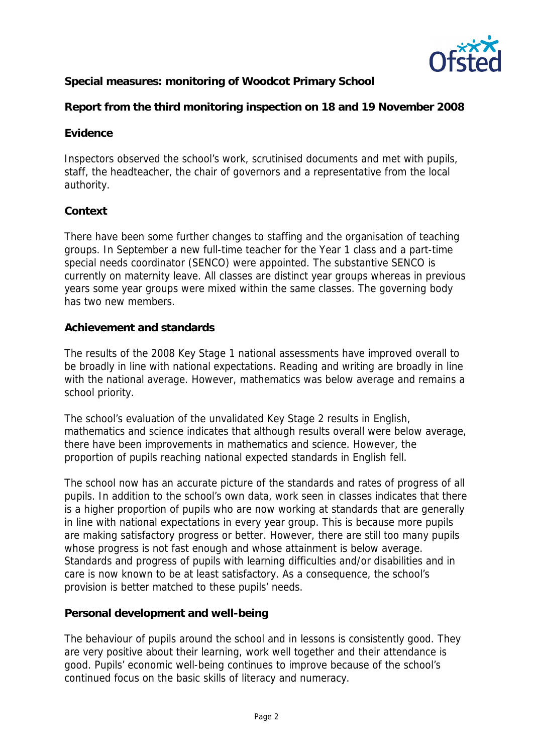

**Special measures: monitoring of Woodcot Primary School**

**Report from the third monitoring inspection on 18 and 19 November 2008**

## **Evidence**

Inspectors observed the school's work, scrutinised documents and met with pupils, staff, the headteacher, the chair of governors and a representative from the local authority.

# **Context**

There have been some further changes to staffing and the organisation of teaching groups. In September a new full-time teacher for the Year 1 class and a part-time special needs coordinator (SENCO) were appointed. The substantive SENCO is currently on maternity leave. All classes are distinct year groups whereas in previous years some year groups were mixed within the same classes. The governing body has two new members.

# **Achievement and standards**

The results of the 2008 Key Stage 1 national assessments have improved overall to be broadly in line with national expectations. Reading and writing are broadly in line with the national average. However, mathematics was below average and remains a school priority.

The school's evaluation of the unvalidated Key Stage 2 results in English, mathematics and science indicates that although results overall were below average, there have been improvements in mathematics and science. However, the proportion of pupils reaching national expected standards in English fell.

The school now has an accurate picture of the standards and rates of progress of all pupils. In addition to the school's own data, work seen in classes indicates that there is a higher proportion of pupils who are now working at standards that are generally in line with national expectations in every year group. This is because more pupils are making satisfactory progress or better. However, there are still too many pupils whose progress is not fast enough and whose attainment is below average. Standards and progress of pupils with learning difficulties and/or disabilities and in care is now known to be at least satisfactory. As a consequence, the school's provision is better matched to these pupils' needs.

**Personal development and well-being**

The behaviour of pupils around the school and in lessons is consistently good. They are very positive about their learning, work well together and their attendance is good. Pupils' economic well-being continues to improve because of the school's continued focus on the basic skills of literacy and numeracy.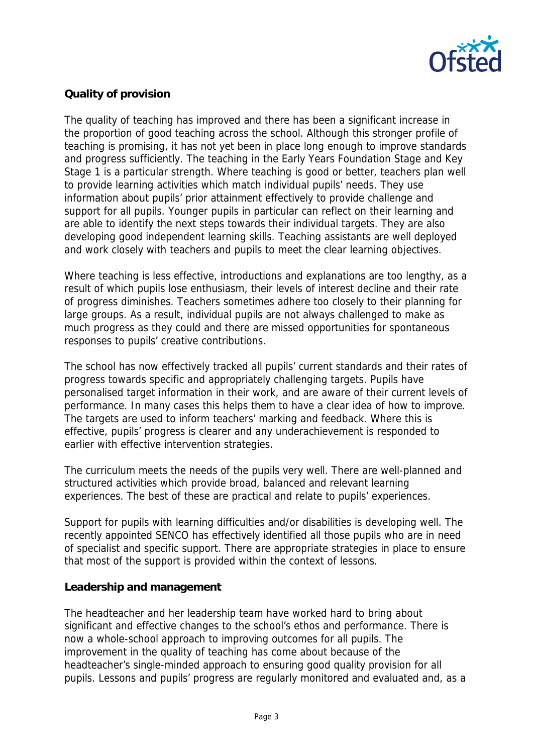

## **Quality of provision**

The quality of teaching has improved and there has been a significant increase in the proportion of good teaching across the school. Although this stronger profile of teaching is promising, it has not yet been in place long enough to improve standards and progress sufficiently. The teaching in the Early Years Foundation Stage and Key Stage 1 is a particular strength. Where teaching is good or better, teachers plan well to provide learning activities which match individual pupils' needs. They use information about pupils' prior attainment effectively to provide challenge and support for all pupils. Younger pupils in particular can reflect on their learning and are able to identify the next steps towards their individual targets. They are also developing good independent learning skills. Teaching assistants are well deployed and work closely with teachers and pupils to meet the clear learning objectives.

Where teaching is less effective, introductions and explanations are too lengthy, as a result of which pupils lose enthusiasm, their levels of interest decline and their rate of progress diminishes. Teachers sometimes adhere too closely to their planning for large groups. As a result, individual pupils are not always challenged to make as much progress as they could and there are missed opportunities for spontaneous responses to pupils' creative contributions.

The school has now effectively tracked all pupils' current standards and their rates of progress towards specific and appropriately challenging targets. Pupils have personalised target information in their work, and are aware of their current levels of performance. In many cases this helps them to have a clear idea of how to improve. The targets are used to inform teachers' marking and feedback. Where this is effective, pupils' progress is clearer and any underachievement is responded to earlier with effective intervention strategies.

The curriculum meets the needs of the pupils very well. There are well-planned and structured activities which provide broad, balanced and relevant learning experiences. The best of these are practical and relate to pupils' experiences.

Support for pupils with learning difficulties and/or disabilities is developing well. The recently appointed SENCO has effectively identified all those pupils who are in need of specialist and specific support. There are appropriate strategies in place to ensure that most of the support is provided within the context of lessons.

### **Leadership and management**

The headteacher and her leadership team have worked hard to bring about significant and effective changes to the school's ethos and performance. There is now a whole-school approach to improving outcomes for all pupils. The improvement in the quality of teaching has come about because of the headteacher's single-minded approach to ensuring good quality provision for all pupils. Lessons and pupils' progress are regularly monitored and evaluated and, as a